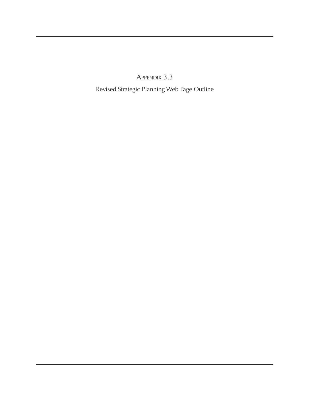Appendix 3.3

Revised Strategic Planning Web Page Outline